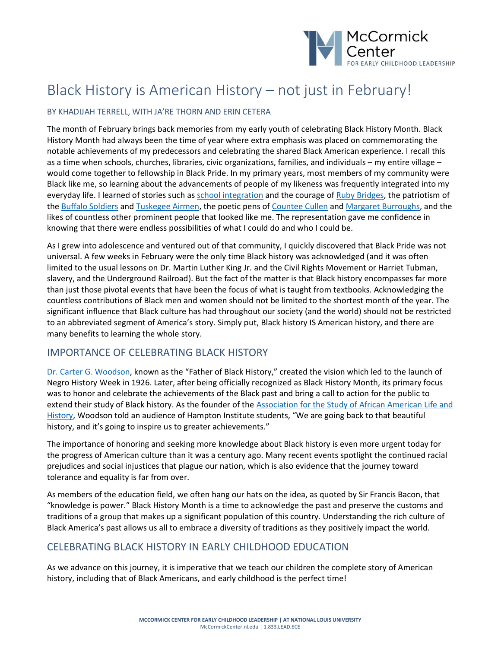

# Black History is American History – not just in February!

#### BY KHADIJAH TERRELL, WITH JA'RE THORN AND ERIN CETERA

The month of February brings back memories from my early youth of celebrating Black History Month. Black History Month had always been the time of year where extra emphasis was placed on commemorating the notable achievements of my predecessors and celebrating the shared Black American experience. I recall this as a time when schools, churches, libraries, civic organizations, families, and individuals – my entire village – would come together to fellowship in Black Pride. In my primary years, most members of my community were Black like me, so learning about the advancements of people of my likeness was frequently integrated into my everyday life. I learned of stories such as [school integration](https://www.history.com/topics/black-history/central-high-school-integration) and the courage of [Ruby Bridges,](https://www.biography.com/activist/ruby-bridges) the patriotism of the [Buffalo Soldiers](https://www.history.com/topics/westward-expansion/buffalo-soldiers) and [Tuskegee Airmen,](https://www.history.com/news/the-birth-of-the-tuskegee-airmen) the poetic pens of [Countee Cullen](https://www.biography.com/writer/countee-cullen) an[d Margaret Burroughs,](https://www.thehistorymakers.org/biography/margaret-burroughs-40) and the likes of countless other prominent people that looked like me. The representation gave me confidence in knowing that there were endless possibilities of what I could do and who I could be.

As I grew into adolescence and ventured out of that community, I quickly discovered that Black Pride was not universal. A few weeks in February were the only time Black history was acknowledged (and it was often limited to the usual lessons on Dr. Martin Luther King Jr. and the Civil Rights Movement or Harriet Tubman, slavery, and the Underground Railroad). But the fact of the matter is that Black history encompasses far more than just those pivotal events that have been the focus of what is taught from textbooks. Acknowledging the countless contributions of Black men and women should not be limited to the shortest month of the year. The significant influence that Black culture has had throughout our society (and the world) should not be restricted to an abbreviated segment of America's story. Simply put, Black history IS American history, and there are many benefits to learning the whole story.

#### IMPORTANCE OF CELEBRATING BLACK HISTORY

[Dr. Carter G. Woodson](https://naacp.org/find-resources/history-explained/civil-rights-leaders/carter-g-woodson), known as the "Father of Black History," created the vision which led to the launch of Negro History Week in 1926. Later, after being officially recognized as Black History Month, its primary focus was to honor and celebrate the achievements of the Black past and bring a call to action for the public to extend their study of Black history. As the founder of the [Association for the Study of African American Life and](https://asalh.org/)  [History](https://asalh.org/), Woodson told an audience of Hampton Institute students, "We are going back to that beautiful history, and it's going to inspire us to greater achievements."

The importance of honoring and seeking more knowledge about Black history is even more urgent today for the progress of American culture than it was a century ago. Many recent events spotlight the continued racial prejudices and social injustices that plague our nation, which is also evidence that the journey toward tolerance and equality is far from over.

As members of the education field, we often hang our hats on the idea, as quoted by Sir Francis Bacon, that "knowledge is power." Black History Month is a time to acknowledge the past and preserve the customs and traditions of a group that makes up a significant population of this country. Understanding the rich culture of Black America's past allows us all to embrace a diversity of traditions as they positively impact the world.

#### CELEBRATING BLACK HISTORY IN EARLY CHILDHOOD EDUCATION

As we advance on this journey, it is imperative that we teach our children the complete story of American history, including that of Black Americans, and early childhood is the perfect time!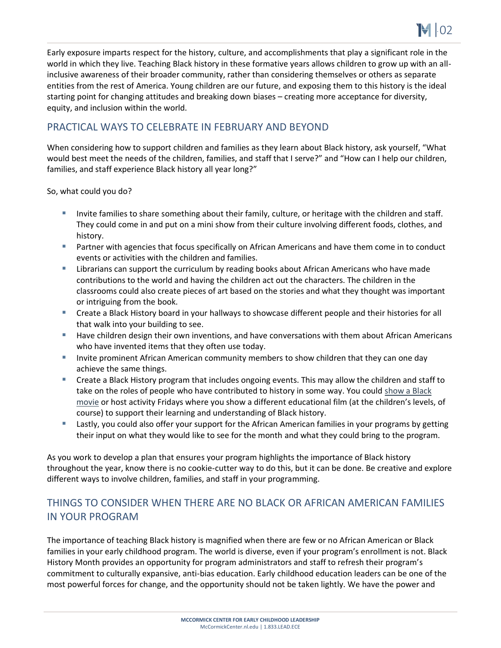Early exposure imparts respect for the history, culture, and accomplishments that play a significant role in the world in which they live. Teaching Black history in these formative years allows children to grow up with an allinclusive awareness of their broader community, rather than considering themselves or others as separate entities from the rest of America. Young children are our future, and exposing them to this history is the ideal starting point for changing attitudes and breaking down biases – creating more acceptance for diversity, equity, and inclusion within the world.

### PRACTICAL WAYS TO CELEBRATE IN FEBRUARY AND BEYOND

When considering how to support children and families as they learn about Black history, ask yourself, "What would best meet the needs of the children, families, and staff that I serve?" and "How can I help our children, families, and staff experience Black history all year long?"

So, what could you do?

- **EXECT** Invite families to share something about their family, culture, or heritage with the children and staff. They could come in and put on a mini show from their culture involving different foods, clothes, and history.
- Partner with agencies that focus specifically on African Americans and have them come in to conduct events or activities with the children and families.
- **E** Librarians can support the curriculum by reading books about African Americans who have made contributions to the world and having the children act out the characters. The children in the classrooms could also create pieces of art based on the stories and what they thought was important or intriguing from the book.
- Create a Black History board in your hallways to showcase different people and their histories for all that walk into your building to see.
- Have children design their own inventions, and have conversations with them about African Americans who have invented items that they often use today.
- **E** Invite prominent African American community members to show children that they can one day achieve the same things.
- Create a Black History program that includes ongoing events. This may allow the children and staff to take on the roles of people who have contributed to history in some way. You could show a Black [movie](https://kidskonnect.com/articles/black-history-movies-for-kids/) or host activity Fridays where you show a different educational film (at the children's levels, of course) to support their learning and understanding of Black history.
- **E** Lastly, you could also offer your support for the African American families in your programs by getting their input on what they would like to see for the month and what they could bring to the program.

As you work to develop a plan that ensures your program highlights the importance of Black history throughout the year, know there is no cookie-cutter way to do this, but it can be done. Be creative and explore different ways to involve children, families, and staff in your programming.

## THINGS TO CONSIDER WHEN THERE ARE NO BLACK OR AFRICAN AMERICAN FAMILIES IN YOUR PROGRAM

The importance of teaching Black history is magnified when there are few or no African American or Black families in your early childhood program. The world is diverse, even if your program's enrollment is not. Black History Month provides an opportunity for program administrators and staff to refresh their program's commitment to culturally expansive, anti-bias education. Early childhood education leaders can be one of the most powerful forces for change, and the opportunity should not be taken lightly. We have the power and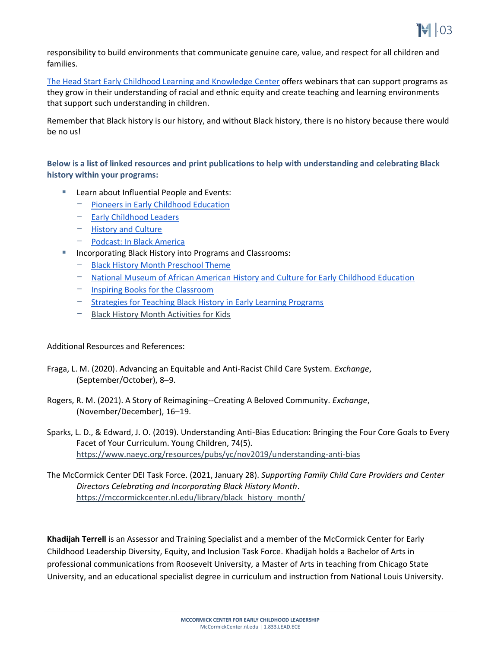

responsibility to build environments that communicate genuine care, value, and respect for all children and families.

[The Head Start Early Childhood Learning and Knowledge Center](https://eclkc.ohs.acf.hhs.gov/culture-language/article/advancing-racial-ethnic-equity-head-start) offers webinars that can support programs as they grow in their understanding of racial and ethnic equity and create teaching and learning environments that support such understanding in children.

Remember that Black history is our history, and without Black history, there is no history because there would be no us!

**Below is a list of linked resources and print publications to help with understanding and celebrating Black history within your programs:**

- Learn about Influential People and Events:
	- [Pioneers in Early Childhood Education](https://www.actforchildren.org/blogs/iafc-marketing1/2021/02/15/celebrating-black-history-month-pioneers-of-early)
	- [Early Childhood Leaders](https://www.himama.com/blog/black-early-childhood-leaders/)
	- [History and Culture](https://www.biography.com/tag/black-history)
	- Podcast: [In Black America](https://www.npr.org/podcasts/381443555/in-black-america)
- Incorporating Black History into Programs and Classrooms:
	- [Black History Month Preschool Theme](https://www.preschool-plan-it.com/black-history-month-theme.html#johnson)
	- [National Museum of African American History and Culture for Early Childhood Education](https://nmaahc.si.edu/learn/early-childhood-education)
	- [Inspiring Books for the Classroom](https://www.huffpost.com/entry/black-history-month-books_n_5a79a9a8e4b018ad89502122)
	- [Strategies for Teaching Black History in Early Learning Programs](https://info.childcareaware.org/blog/4-strategies-for-teaching-black-history-in-early-learning-programs)
	- [Black History Month Activities for Kids](https://kidactivities.net/black-history-month-activities-for-kids/)

Additional Resources and References:

- Fraga, L. M. (2020). Advancing an Equitable and Anti-Racist Child Care System. *Exchange*, (September/October), 8–9.
- Rogers, R. M. (2021). A Story of Reimagining--Creating A Beloved Community. *Exchange*, (November/December), 16–19.
- Sparks, L. D., & Edward, J. O. (2019). Understanding Anti-Bias Education: Bringing the Four Core Goals to Every Facet of Your Curriculum. Young Children, 74(5). <https://www.naeyc.org/resources/pubs/yc/nov2019/understanding-anti-bias>
- The McCormick Center DEI Task Force. (2021, January 28). *Supporting Family Child Care Providers and Center Directors Celebrating and Incorporating Black History Month*. https://mccormickcenter.nl.edu/library/black history month/

**Khadijah Terrell** is an Assessor and Training Specialist and a member of the McCormick Center for Early Childhood Leadership Diversity, Equity, and Inclusion Task Force. Khadijah holds a Bachelor of Arts in professional communications from Roosevelt University, a Master of Arts in teaching from Chicago State University, and an educational specialist degree in curriculum and instruction from National Louis University.